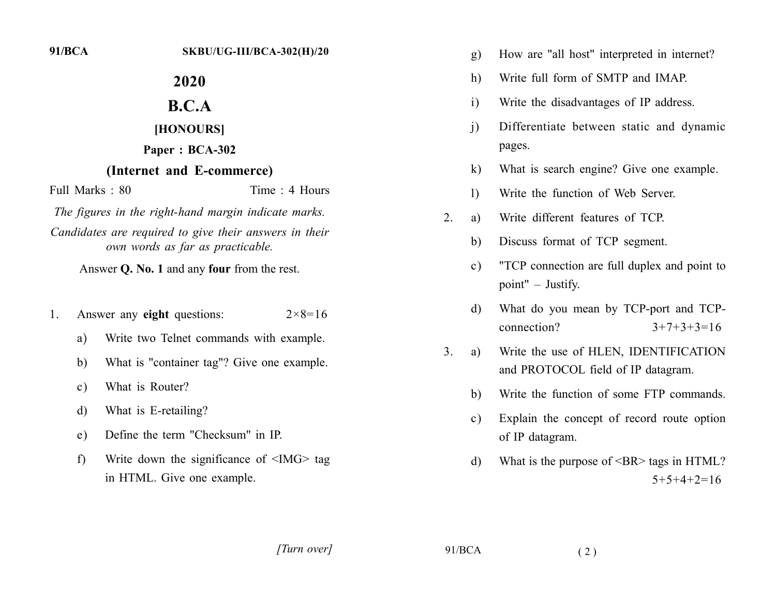$91/BCA$ 

# 2020

## $B.C.A$

#### [HONOURS]

#### Paper: BCA-302

### (Internet and E-commerce)

Full Marks  $\cdot$  80

Time  $\cdot$  4 Hours

The figures in the right-hand margin indicate marks. Candidates are required to give their answers in their own words as far as practicable.

Answer Q. No. 1 and any four from the rest.

- Answer any eight questions:  $2 \times 8 = 16$  $1_{\cdot}$ 
	- a) Write two Telnet commands with example.
	- What is "container tag"? Give one example. b)
	- What is Router?  $\mathbf{c})$
	- What is E-retailing?  $\mathbf{d}$
	- Define the term "Checksum" in IP.  $e)$
	- Write down the significance of  $\leq$ IMG $>$  tag  $f$ in HTML. Give one example.
- How are "all host" interpreted in internet?  $g)$
- Write full form of SMTP and IMAP. h)
- Write the disadvantages of IP address.  $\mathbf{i}$
- Differentiate between static and dynamic  $\mathbf{i}$ pages.
- What is search engine? Give one example.  $\bf k$
- Write the function of Web Server.  $\left| \right\rangle$
- 2. Write different features of TCP. a)
	- Discuss format of TCP segment. b)
	- "TCP connection are full duplex and point to  $c)$ point" – Justify.
	- What do you mean by TCP-port and TCPd) connection?  $3+7+3+3=16$
- Write the use of HLEN, IDENTIFICATION  $3<sub>1</sub>$ a) and PROTOCOL field of IP datagram.
	- Write the function of some FTP commands.  $h$
	- Explain the concept of record route option  $c)$ of IP datagram.
	- What is the purpose of <BR> tags in HTML? d)  $5+5+4+2=16$